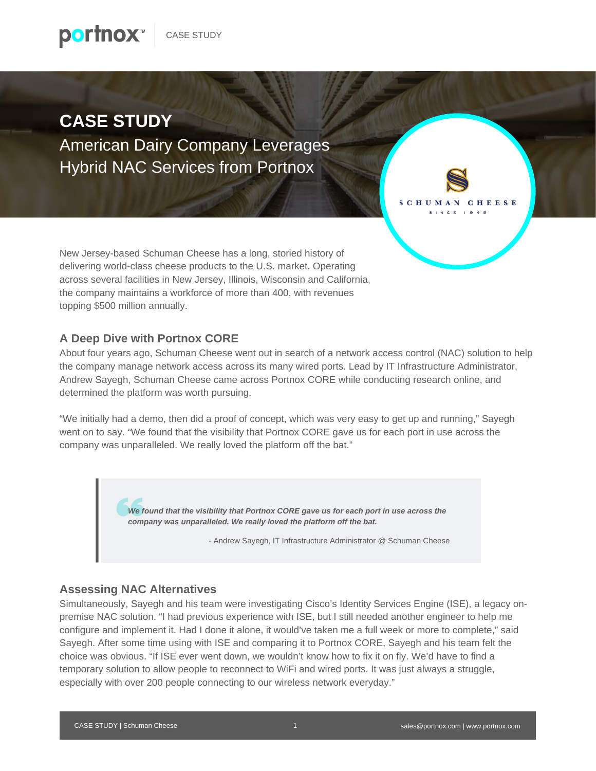

## **CASE STUDY**

American Dairy Company Leverages Hybrid NAC Services from Portnox

New Jersey-based Schuman Cheese has a long, storied history of delivering world-class cheese products to the U.S. market. Operating across several facilities in New Jersey, Illinois, Wisconsin and California, the company maintains a workforce of more than 400, with revenues topping \$500 million annually.

### **A Deep Dive with Portnox CORE**

About four years ago, Schuman Cheese went out in search of a network access control (NAC) solution to help the company manage network access across its many wired ports. Lead by IT Infrastructure Administrator, Andrew Sayegh, Schuman Cheese came across Portnox CORE while conducting research online, and determined the platform was worth pursuing.

"We initially had a demo, then did a proof of concept, which was very easy to get up and running," Sayegh went on to say. "We found that the visibility that Portnox CORE gave us for each port in use across the company was unparalleled. We really loved the platform off the bat."

> *We found that the visibility that Portnox CORE gave us for each port in use across the company was unparalleled. We really loved the platform off the bat.*

> > - Andrew Sayegh, IT Infrastructure Administrator @ Schuman Cheese

#### **Assessing NAC Alternatives**

Simultaneously, Sayegh and his team were investigating Cisco's Identity Services Engine (ISE), a legacy onpremise NAC solution. "I had previous experience with ISE, but I still needed another engineer to help me configure and implement it. Had I done it alone, it would've taken me a full week or more to complete," said Sayegh. After some time using with ISE and comparing it to Portnox CORE, Sayegh and his team felt the choice was obvious. "If ISE ever went down, we wouldn't know how to fix it on fly. We'd have to find a temporary solution to allow people to reconnect to WiFi and wired ports. It was just always a struggle, especially with over 200 people connecting to our wireless network everyday."

SCHUMAN CHEESE